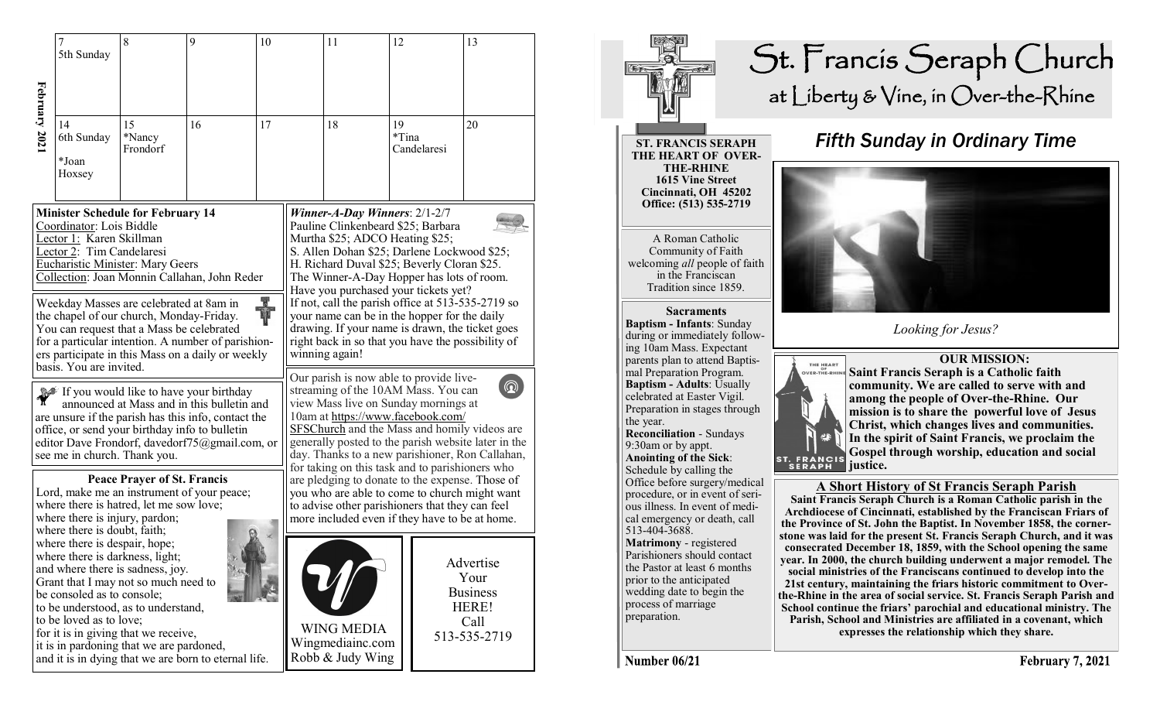|                                                                                                                                                                                                                                                                                                                                                                                                                                                                               | 5th Sunday                                                                                                                                                                                                                                                                                                                       | 8                        | 9                                                    | 10 |                                                                                                                                                                                                                                                                                                                                                                                                                                                                                                                            | 11                                                        | 12          |             | 13                                                                    |
|-------------------------------------------------------------------------------------------------------------------------------------------------------------------------------------------------------------------------------------------------------------------------------------------------------------------------------------------------------------------------------------------------------------------------------------------------------------------------------|----------------------------------------------------------------------------------------------------------------------------------------------------------------------------------------------------------------------------------------------------------------------------------------------------------------------------------|--------------------------|------------------------------------------------------|----|----------------------------------------------------------------------------------------------------------------------------------------------------------------------------------------------------------------------------------------------------------------------------------------------------------------------------------------------------------------------------------------------------------------------------------------------------------------------------------------------------------------------------|-----------------------------------------------------------|-------------|-------------|-----------------------------------------------------------------------|
| February 2021                                                                                                                                                                                                                                                                                                                                                                                                                                                                 | 14<br>6th Sunday<br>*Joan<br>Hoxsey                                                                                                                                                                                                                                                                                              | 15<br>*Nancy<br>Frondorf | 16                                                   | 17 |                                                                                                                                                                                                                                                                                                                                                                                                                                                                                                                            | 18                                                        | 19<br>*Tina | Candelaresi | 20                                                                    |
| <b>Minister Schedule for February 14</b><br>Coordinator: Lois Biddle<br>Lector 1: Karen Skillman<br>Lector 2: Tim Candelaresi<br><b>Eucharistic Minister: Mary Geers</b><br>Collection: Joan Monnin Callahan, John Reder<br>H.<br>Weekday Masses are celebrated at 8am in<br>the chapel of our church, Monday-Friday.<br>You can request that a Mass be celebrated<br>for a particular intention. A number of parishion-<br>ers participate in this Mass on a daily or weekly |                                                                                                                                                                                                                                                                                                                                  |                          |                                                      |    | Winner-A-Day Winners: $2/1-2/7$<br>Pauline Clinkenbeard \$25; Barbara<br>Murtha \$25; ADCO Heating \$25;<br>S. Allen Dohan \$25; Darlene Lockwood \$25;<br>H. Richard Duval \$25; Beverly Cloran \$25.<br>The Winner-A-Day Hopper has lots of room.<br>Have you purchased your tickets yet?<br>If not, call the parish office at 513-535-2719 so<br>your name can be in the hopper for the daily<br>drawing. If your name is drawn, the ticket goes<br>right back in so that you have the possibility of<br>winning again! |                                                           |             |             |                                                                       |
| basis. You are invited.<br>If you would like to have your birthday<br>announced at Mass and in this bulletin and<br>are unsure if the parish has this info, contact the<br>office, or send your birthday info to bulletin<br>editor Dave Frondorf, davedorf75@gmail.com, or<br>see me in church. Thank you.                                                                                                                                                                   |                                                                                                                                                                                                                                                                                                                                  |                          |                                                      |    | Our parish is now able to provide live-<br>$\circledcirc$<br>streaming of the 10AM Mass. You can<br>view Mass live on Sunday mornings at<br>10am at https://www.facebook.com/<br>SFSChurch and the Mass and homily videos are<br>generally posted to the parish website later in the<br>day. Thanks to a new parishioner, Ron Callahan,<br>for taking on this task and to parishioners who                                                                                                                                 |                                                           |             |             |                                                                       |
| <b>Peace Prayer of St. Francis</b><br>Lord, make me an instrument of your peace;<br>where there is hatred, let me sow love;<br>where there is injury, pardon;<br>where there is doubt, faith;                                                                                                                                                                                                                                                                                 |                                                                                                                                                                                                                                                                                                                                  |                          |                                                      |    | are pledging to donate to the expense. Those of<br>you who are able to come to church might want<br>to advise other parishioners that they can feel<br>more included even if they have to be at home.                                                                                                                                                                                                                                                                                                                      |                                                           |             |             |                                                                       |
|                                                                                                                                                                                                                                                                                                                                                                                                                                                                               | where there is despair, hope;<br>where there is darkness, light;<br>and where there is sadness, joy.<br>Grant that I may not so much need to<br>be consoled as to console;<br>to be understood, as to understand,<br>to be loved as to love;<br>for it is in giving that we receive,<br>it is in pardoning that we are pardoned, |                          | and it is in dying that we are born to eternal life. |    |                                                                                                                                                                                                                                                                                                                                                                                                                                                                                                                            | <b>WING MEDIA</b><br>Wingmediainc.com<br>Robb & Judy Wing |             |             | Advertise<br>Your<br><b>Business</b><br>HERE!<br>Call<br>513-535-2719 |



## St. Francis Seraph Church at Liberty & Vine, in Over-the-Rhine

## *Fifth Sunday in Ordinary Time*



*Looking for Jesus?*



 **OUR MISSION: Saint Francis Seraph is a Catholic faith community. We are called to serve with and among the people of Over-the-Rhine. Our mission is to share the powerful love of Jesus Christ, which changes lives and communities. In the spirit of Saint Francis, we proclaim the Gospel through worship, education and social justice.**

## **A Short History of St Francis Seraph Parish**

**Saint Francis Seraph Church is a Roman Catholic parish in the Archdiocese of Cincinnati, established by the Franciscan Friars of the Province of St. John the Baptist. In November 1858, the cornerstone was laid for the present St. Francis Seraph Church, and it was consecrated December 18, 1859, with the School opening the same year. In 2000, the church building underwent a major remodel. The social ministries of the Franciscans continued to develop into the 21st century, maintaining the friars historic commitment to Overthe-Rhine in the area of social service. St. Francis Seraph Parish and School continue the friars' parochial and educational ministry. The Parish, School and Ministries are affiliated in a covenant, which expresses the relationship which they share.** 

Number 06/21

513-404-3688.

**Matrimony** - registered Parishioners should contact the Pastor at least 6 months prior to the anticipated wedding date to begin the process of marriage preparation.

mal Preparation Program.

celebrated at Easter Vigil.

**Reconciliation** - Sundays 9:30am or by appt. **Anointing of the Sick**: Schedule by calling the Office before surgery/medical procedure, or in event of serious illness. In event of medical emergency or death, call

the year.